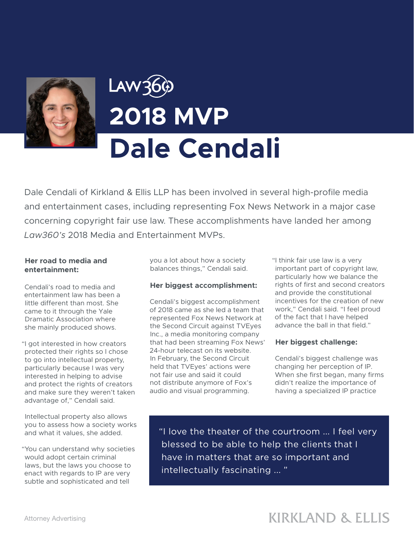

# **2018 MVP Dale Cendali**

Dale Cendali of Kirkland & Ellis LLP has been involved in several high-profile media and entertainment cases, including representing Fox News Network in a major case concerning copyright fair use law. These accomplishments have landed her among *Law360's* 2018 Media and Entertainment MVPs.

#### **Her road to media and entertainment:**

Cendali's road to media and entertainment law has been a little different than most. She came to it through the Yale Dramatic Association where she mainly produced shows.

"I got interested in how creators protected their rights so I chose to go into intellectual property, particularly because I was very interested in helping to advise and protect the rights of creators and make sure they weren't taken advantage of," Cendali said.

Intellectual property also allows you to assess how a society works and what it values, she added.

"You can understand why societies would adopt certain criminal laws, but the laws you choose to enact with regards to IP are very subtle and sophisticated and tell

you a lot about how a society balances things," Cendali said.

### **Her biggest accomplishment:**

Cendali's biggest accomplishment of 2018 came as she led a team that represented Fox News Network at the Second Circuit against TVEyes Inc., a media monitoring company that had been streaming Fox News' 24-hour telecast on its website. In February, the Second Circuit held that TVEyes' actions were not fair use and said it could not distribute anymore of Fox's audio and visual programming.

"I think fair use law is a very important part of copyright law, particularly how we balance the rights of first and second creators and provide the constitutional incentives for the creation of new work," Cendali said. "I feel proud of the fact that I have helped advance the ball in that field."

### **Her biggest challenge:**

Cendali's biggest challenge was changing her perception of IP. When she first began, many firms didn't realize the importance of having a specialized IP practice

"I love the theater of the courtroom ... I feel very blessed to be able to help the clients that I have in matters that are so important and intellectually fascinating ... "

## **KIRKLAND & ELLIS**